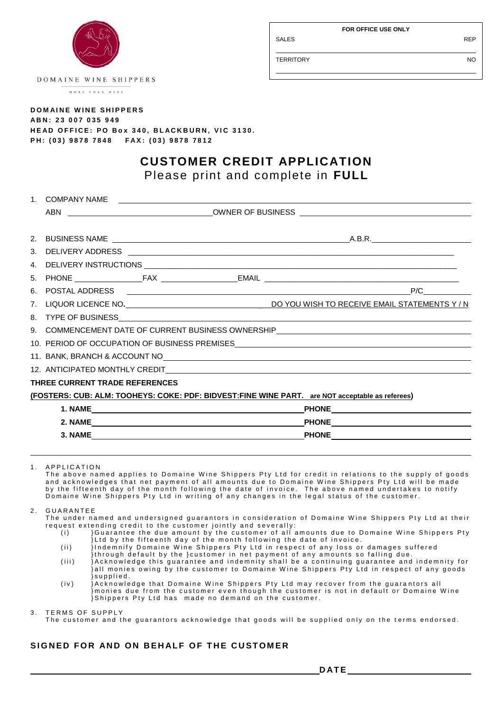Entertainment and the second state of the second state of the second state of the second state of the second s

SALES REP

TERRITORY NO

DOMAINE WINE SHIPPERS

MORE THAN WINE

## **DOMAINE WINE SHIPPERS A B N : 2 3 0 0 7 0 3 5 9 4 9 H E A D O F F I C E : P O B o x 340 , B L A C K B U R N , V I C 3 1 3 0 . P H : ( 0 3 ) 9 8 7 8 7 8 4 8 F A X : ( 0 3 ) 9 8 7 8 7 8 1 2**

# **CUSTOMER CREDIT APPLICATION** Please print and complete in **FULL**

|                     | 1. COMPANY NAME                                                                                                                                                                                                                      |  |  | <u> 1989 - Andrea Stadt British, amerikan beste beste beste beste beste beste beste beste beste beste beste beste</u> |     |  |
|---------------------|--------------------------------------------------------------------------------------------------------------------------------------------------------------------------------------------------------------------------------------|--|--|-----------------------------------------------------------------------------------------------------------------------|-----|--|
|                     |                                                                                                                                                                                                                                      |  |  |                                                                                                                       |     |  |
|                     |                                                                                                                                                                                                                                      |  |  |                                                                                                                       |     |  |
| 2.                  | BUSINESS NAME <b>All and the Contract of the Contract of Contract Contract of Contract Oriental Contract of Contract Oriental Contract of Contract Oriental Contract of Contract Oriental Contract Oriental Contract Oriental Co</b> |  |  |                                                                                                                       |     |  |
| 3.                  |                                                                                                                                                                                                                                      |  |  |                                                                                                                       |     |  |
| 4 <sub>1</sub>      |                                                                                                                                                                                                                                      |  |  |                                                                                                                       |     |  |
| 5 <sub>1</sub>      |                                                                                                                                                                                                                                      |  |  |                                                                                                                       |     |  |
| 6.                  |                                                                                                                                                                                                                                      |  |  |                                                                                                                       | P/C |  |
| 7.                  |                                                                                                                                                                                                                                      |  |  |                                                                                                                       |     |  |
|                     |                                                                                                                                                                                                                                      |  |  |                                                                                                                       |     |  |
|                     | 9. COMMENCEMENT DATE OF CURRENT BUSINESS OWNERSHIP COMMENT COMMENCEMENT DATE OF CURRENT BUSINESS OWNERSHIP                                                                                                                           |  |  |                                                                                                                       |     |  |
|                     |                                                                                                                                                                                                                                      |  |  |                                                                                                                       |     |  |
|                     | 11. BANK, BRANCH & ACCOUNT NO CONTRACT AND A RESIDENCE AND A RESIDENCE AND A RESIDENCE AND A RESIDENCE AND A RESIDENCE AND A RESIDENCE AND A RESIDENCE AND A RESIDENCE AND A RESIDENCE AND A RESIDENCE AND A RESIDENCE AND A R       |  |  |                                                                                                                       |     |  |
|                     |                                                                                                                                                                                                                                      |  |  |                                                                                                                       |     |  |
|                     | THREE CURRENT TRADE REFERENCES                                                                                                                                                                                                       |  |  |                                                                                                                       |     |  |
|                     |                                                                                                                                                                                                                                      |  |  | (FOSTERS: CUB: ALM: TOOHEYS: COKE: PDF: BIDVEST:FINE WINE PART. are NOT acceptable as referees)                       |     |  |
|                     |                                                                                                                                                                                                                                      |  |  |                                                                                                                       |     |  |
| 2. NAME PHONE PHONE |                                                                                                                                                                                                                                      |  |  |                                                                                                                       |     |  |
|                     |                                                                                                                                                                                                                                      |  |  |                                                                                                                       |     |  |
|                     |                                                                                                                                                                                                                                      |  |  |                                                                                                                       |     |  |
|                     |                                                                                                                                                                                                                                      |  |  |                                                                                                                       |     |  |

1. APPLICATION

The above named applies to Domaine Wine Shippers Pty Ltd for credit in relations to the supply of goods and acknowledges that net payment of all amounts due to Domaine Wine Shippers Pty Ltd will be made by the fifteenth day of the month following the date of invoice. The above named undertakes to notify Domaine Wine Shippers Pty Ltd in writing of any changes in the legal status of the customer.

## 2 GUARANTEE

The under named and undersigned guarantors in consideration of Domaine Wine Shippers Pty Ltd at their request extending credit to the customer jointly and severally:

- (i) }Guarantee the due amount by the customer of all amounts due to Domaine Wine Shippers Pty  $\hat{\mathbf{z}}$ Ltd by the fifteenth day of the month following the date of invoice.
- (ii) } Indemnify Domaine Wine Shippers Pty Ltd in respect of any loss or damages suffered {through default by the } customer in net payment of any amounts so falling due.
- (iii) }Acknowledge this guarantee and indemnity shall be a continuing guarantee and indemnity for }all monies owing by the customer to Domaine Wine Shippers Pty Ltd in respect of any goods } s u p p l i e d .
- $(iv)$  is a interpretent of the total pomaine Wine Shippers Pty Ltd may recover from the quarantors all } monies due from the customer even though the customer is not in default or Domaine Wine } Shippers Pty Ltd has made no demand on the customer.

3. TERMS OF SUPPLY

The customer and the guarantors acknowledge that goods will be supplied only on the terms endorsed.

## SIGNED FOR AND ON BEHALF OF THE CUSTOMER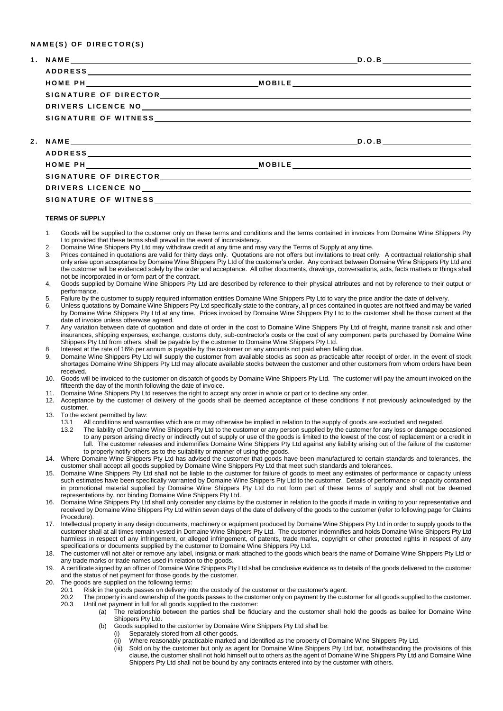### **N A M E ( S ) O F D I R E C T O R ( S )**

|                      | DRIVERS LICENCE NO ANNO ANNO 2009 - CARDINAL ANNO 2012 - CARDINAL ANNO 2012 - CARDINAL ANNO 2012 - CARDINAL AN |
|----------------------|----------------------------------------------------------------------------------------------------------------|
|                      |                                                                                                                |
|                      |                                                                                                                |
|                      |                                                                                                                |
|                      |                                                                                                                |
|                      |                                                                                                                |
|                      |                                                                                                                |
|                      |                                                                                                                |
| SIGNATURE OF WITNESS |                                                                                                                |

#### **TERMS OF SUPPLY**

- 1. Goods will be supplied to the customer only on these terms and conditions and the terms contained in invoices from Domaine Wine Shippers Pty Ltd provided that these terms shall prevail in the event of inconsistency.
- 2. Domaine Wine Shippers Pty Ltd may withdraw credit at any time and may vary the Terms of Supply at any time.
- 3. Prices contained in quotations are valid for thirty days only. Quotations are not offers but invitations to treat only. A contractual relationship shall only arise upon acceptance by Domaine Wine Shippers Pty Ltd of the customer's order. Any contract between Domaine Wine Shippers Pty Ltd and the customer will be evidenced solely by the order and acceptance. All other documents, drawings, conversations, acts, facts matters or things shall not be incorporated in or form part of the contract.
- 4. Goods supplied by Domaine Wine Shippers Pty Ltd are described by reference to their physical attributes and not by reference to their output or performance.
- 5. Failure by the customer to supply required information entitles Domaine Wine Shippers Pty Ltd to vary the price and/or the date of delivery.
- 6. Unless quotations by Domaine Wine Shippers Pty Ltd specifically state to the contrary, all prices contained in quotes are not fixed and may be varied by Domaine Wine Shippers Pty Ltd at any time. Prices invoiced by Domaine Wine Shippers Pty Ltd to the customer shall be those current at the date of invoice unless otherwise agreed.
- 7. Any variation between date of quotation and date of order in the cost to Domaine Wine Shippers Pty Ltd of freight, marine transit risk and other insurances, shipping expenses, exchange, customs duty, sub-contractor's costs or the cost of any component parts purchased by Domaine Wine Shippers Pty Ltd from others, shall be payable by the customer to Domaine Wine Shippers Pty Ltd.
- 8. Interest at the rate of 16% per annum is payable by the customer on any amounts not paid when falling due.
- 9. Domaine Wine Shippers Pty Ltd will supply the customer from available stocks as soon as practicable after receipt of order. In the event of stock shortages Domaine Wine Shippers Pty Ltd may allocate available stocks between the customer and other customers from whom orders have been received.
- 10. Goods will be invoiced to the customer on dispatch of goods by Domaine Wine Shippers Pty Ltd. The customer will pay the amount invoiced on the fifteenth the day of the month following the date of invoice.
- 11. Domaine Wine Shippers Pty Ltd reserves the right to accept any order in whole or part or to decline any order.
- 12. Acceptance by the customer of delivery of the goods shall be deemed acceptance of these conditions if not previously acknowledged by the customer.
- 13. To the extent permitted by law:
	- 13.1 All conditions and warranties which are or may otherwise be implied in relation to the supply of goods are excluded and negated.
	- 13.2 The liability of Domaine Wine Shippers Pty Ltd to the customer or any person supplied by the customer for any loss or damage occasioned to any person arising directly or indirectly out of supply or use of the goods is limited to the lowest of the cost of replacement or a credit in full. The customer releases and indemnifies Domaine Wine Shippers Pty Ltd against any liability arising out of the failure of the customer to properly notify others as to the suitability or manner of using the goods.
- 14. Where Domaine Wine Shippers Pty Ltd has advised the customer that goods have been manufactured to certain standards and tolerances, the customer shall accept all goods supplied by Domaine Wine Shippers Pty Ltd that meet such standards and tolerances.
- 15. Domaine Wine Shippers Pty Ltd shall not be liable to the customer for failure of goods to meet any estimates of performance or capacity unless such estimates have been specifically warranted by Domaine Wine Shippers Pty Ltd to the customer. Details of performance or capacity contained in promotional material supplied by Domaine Wine Shippers Pty Ltd do not form part of these terms of supply and shall not be deemed representations by, nor binding Domaine Wine Shippers Pty Ltd.
- 16. Domaine Wine Shippers Pty Ltd shall only consider any claims by the customer in relation to the goods if made in writing to your representative and received by Domaine Wine Shippers Pty Ltd within seven days of the date of delivery of the goods to the customer (refer to following page for Claims Procedure).
- 17. Intellectual property in any design documents, machinery or equipment produced by Domaine Wine Shippers Pty Ltd in order to supply goods to the customer shall at all times remain vested in Domaine Wine Shippers Pty Ltd. The customer indemnifies and holds Domaine Wine Shippers Pty Ltd harmless in respect of any infringement, or alleged infringement, of patents, trade marks, copyright or other protected rights in respect of any specifications or documents supplied by the customer to Domaine Wine Shippers Pty Ltd.
- 18. The customer will not alter or remove any label, insignia or mark attached to the goods which bears the name of Domaine Wine Shippers Pty Ltd or any trade marks or trade names used in relation to the goods.
- 19. A certificate signed by an officer of Domaine Wine Shippers Pty Ltd shall be conclusive evidence as to details of the goods delivered to the customer and the status of net payment for those goods by the customer.
- 20. The goods are supplied on the following terms:
	- 20.1 Risk in the goods passes on delivery into the custody of the customer or the customer's agent.<br>20.2 The property in and ownership of the goods passes to the customer only on payment by the cus
		- 20.2 The property in and ownership of the goods passes to the customer only on payment by the customer for all goods supplied to the customer.<br>20.3 Until net payment in full for all goods supplied to the customer: Until net payment in full for all goods supplied to the customer:
			- (a) The relationship between the parties shall be fiduciary and the customer shall hold the goods as bailee for Domaine Wine Shippers Pty Ltd.
				- (b) Goods supplied to the customer by Domaine Wine Shippers Pty Ltd shall be:
					- (i) Separately stored from all other goods.
					- (ii) Where reasonably practicable marked and identified as the property of Domaine Wine Shippers Pty Ltd.
					- (iii) Sold on by the customer but only as agent for Domaine Wine Shippers Pty Ltd but, notwithstanding the provisions of this clause, the customer shall not hold himself out to others as the agent of Domaine Wine Shippers Pty Ltd and Domaine Wine Shippers Pty Ltd shall not be bound by any contracts entered into by the customer with others.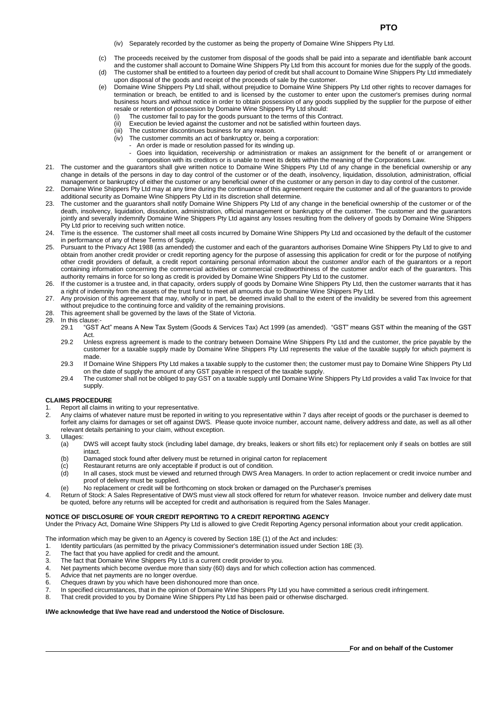- (iv) Separately recorded by the customer as being the property of Domaine Wine Shippers Pty Ltd.
- (c) The proceeds received by the customer from disposal of the goods shall be paid into a separate and identifiable bank account
- and the customer shall account to Domaine Wine Shippers Pty Ltd from this account for monies due for the supply of the goods. (d) The customer shall be entitled to a fourteen day period of credit but shall account to Domaine Wine Shippers Pty Ltd immediately upon disposal of the goods and receipt of the proceeds of sale by the customer.
- (e) Domaine Wine Shippers Pty Ltd shall, without prejudice to Domaine Wine Shippers Pty Ltd other rights to recover damages for termination or breach, be entitled to and is licensed by the customer to enter upon the customer's premises during normal business hours and without notice in order to obtain possession of any goods supplied by the supplier for the purpose of either resale or retention of possession by Domaine Wine Shippers Pty Ltd should:
	- (i) The customer fail to pay for the goods pursuant to the terms of this Contract.
	- (ii) Execution be levied against the customer and not be satisfied within fourteen days.
	- (iii) The customer discontinues business for any reason.
	- (iv) The customer commits an act of bankruptcy or, being a corporation:
		- An order is made or resolution passed for its winding up.
		- Goes into liquidation, receivership or administration or makes an assignment for the benefit of or arrangement or composition with its creditors or is unable to meet its debts within the meaning of the Corporations Law.
- 21. The customer and the guarantors shall give written notice to Domaine Wine Shippers Pty Ltd of any change in the beneficial ownership or any change in details of the persons in day to day control of the customer or of the death, insolvency, liquidation, dissolution, administration, official management or bankruptcy of either the customer or any beneficial owner of the customer or any person in day to day control of the customer.
- 22. Domaine Wine Shippers Pty Ltd may at any time during the continuance of this agreement require the customer and all of the guarantors to provide additional security as Domaine Wine Shippers Pty Ltd in its discretion shall determine.
- 23. The customer and the guarantors shall notify Domaine Wine Shippers Pty Ltd of any change in the beneficial ownership of the customer or of the death, insolvency, liquidation, dissolution, administration, official management or bankruptcy of the customer. The customer and the guarantors jointly and severally indemnify Domaine Wine Shippers Pty Ltd against any losses resulting from the delivery of goods by Domaine Wine Shippers Pty Ltd prior to receiving such written notice.
- 24. Time is the essence. The customer shall meet all costs incurred by Domaine Wine Shippers Pty Ltd and occasioned by the default of the customer in performance of any of these Terms of Supply.
- 25. Pursuant to the Privacy Act 1988 (as amended) the customer and each of the guarantors authorises Domaine Wine Shippers Pty Ltd to give to and obtain from another credit provider or credit reporting agency for the purpose of assessing this application for credit or for the purpose of notifying other credit providers of default, a credit report containing personal information about the customer and/or each of the guarantors or a report containing information concerning the commercial activities or commercial creditworthiness of the customer and/or each of the guarantors. This authority remains in force for so long as credit is provided by Domaine Wine Shippers Pty Ltd to the customer.
- 26. If the customer is a trustee and, in that capacity, orders supply of goods by Domaine Wine Shippers Pty Ltd, then the customer warrants that it has a right of indemnity from the assets of the trust fund to meet all amounts due to Domaine Wine Shippers Pty Ltd.
- 27. Any provision of this agreement that may, wholly or in part, be deemed invalid shall to the extent of the invalidity be severed from this agreement without prejudice to the continuing force and validity of the remaining provisions.
- 28. This agreement shall be governed by the laws of the State of Victoria.
- 29. In this clause:-
	- 29.1 "GST Act" means A New Tax System (Goods & Services Tax) Act 1999 (as amended). "GST" means GST within the meaning of the GST Act.
	- 29.2 Unless express agreement is made to the contrary between Domaine Wine Shippers Pty Ltd and the customer, the price payable by the customer for a taxable supply made by Domaine Wine Shippers Pty Ltd represents the value of the taxable supply for which payment is made.
	- 29.3 If Domaine Wine Shippers Pty Ltd makes a taxable supply to the customer then; the customer must pay to Domaine Wine Shippers Pty Ltd on the date of supply the amount of any GST payable in respect of the taxable supply.
	- 29.4 The customer shall not be obliged to pay GST on a taxable supply until Domaine Wine Shippers Pty Ltd provides a valid Tax Invoice for that supply.

#### **CLAIMS PROCEDURE**

- 1. Report all claims in writing to your representative.<br>2. Any claims of whatever nature must be reported in
- 2. Any claims of whatever nature must be reported in writing to you representative within 7 days after receipt of goods or the purchaser is deemed to forfeit any claims for damages or set off against DWS. Please quote invoice number, account name, delivery address and date, as well as all other relevant details pertaining to your claim, without exception.
- 3. Ullages:
	- (a) DWS will accept faulty stock (including label damage, dry breaks, leakers or short fills etc) for replacement only if seals on bottles are still intact.
	- (b) Damaged stock found after delivery must be returned in original carton for replacement
	- (c) Restaurant returns are only acceptable if product is out of condition.
	- (d) In all cases, stock must be viewed and returned through DWS Area Managers. In order to action replacement or credit invoice number and proof of delivery must be supplied.
	- (e) No replacement or credit will be forthcoming on stock broken or damaged on the Purchaser's premises
- 4. Return of Stock: A Sales Representative of DWS must view all stock offered for return for whatever reason. Invoice number and delivery date must be quoted, before any returns will be accepted for credit and authorisation is required from the Sales Manager.

#### **NOTICE OF DISCLOSURE OF YOUR CREDIT REPORTING TO A CREDIT REPORTING AGENCY**

Under the Privacy Act, Domaine Wine Shippers Pty Ltd is allowed to give Credit Reporting Agency personal information about your credit application.

The information which may be given to an Agency is covered by Section 18E (1) of the Act and includes:

- 1. Identity particulars (as permitted by the privacy Commissioner's determination issued under Section 18E (3).
- 2. The fact that you have applied for credit and the amount.
- 3. The fact that Domaine Wine Shippers Pty Ltd is a current credit provider to you.
- 4. Net payments which become overdue more than sixty (60) days and for which collection action has commenced.
- 5. Advice that net payments are no longer overdue.
- 6. Cheques drawn by you which have been dishonoured more than once.
- 7. In specified circumstances, that in the opinion of Domaine Wine Shippers Pty Ltd you have committed a serious credit infringement.<br>8. That credit provided to you by Domaine Wine Shippers Pty Ltd has been paid or otherwi
- That credit provided to you by Domaine Wine Shippers Pty Ltd has been paid or otherwise discharged.

## **I/We acknowledge that I/we have read and understood the Notice of Disclosure.**